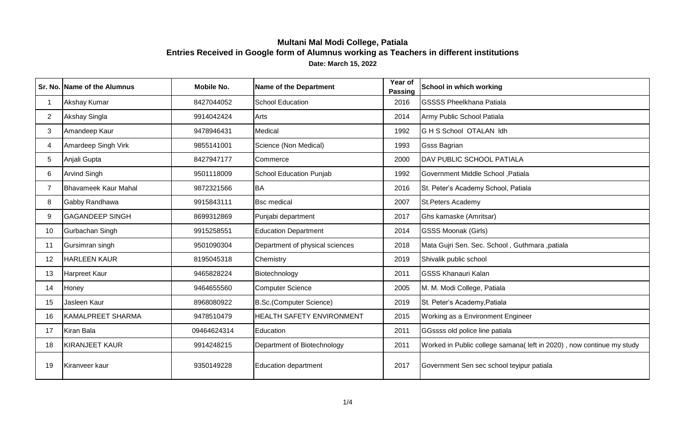|                | Sr. No. Name of the Alumnus | Mobile No.  | Name of the Department          | Year of<br><b>Passing</b> | School in which working                                              |
|----------------|-----------------------------|-------------|---------------------------------|---------------------------|----------------------------------------------------------------------|
|                | Akshay Kumar                | 8427044052  | <b>School Education</b>         | 2016                      | <b>GSSSS Pheelkhana Patiala</b>                                      |
| $\overline{2}$ | Akshay Singla               | 9914042424  | Arts                            | 2014                      | Army Public School Patiala                                           |
| 3              | Amandeep Kaur               | 9478946431  | Medical                         | 1992                      | G H S School OTALAN Idh                                              |
| 4              | Amardeep Singh Virk         | 9855141001  | Science (Non Medical)           | 1993                      | <b>Gsss Bagrian</b>                                                  |
| 5              | Anjali Gupta                | 8427947177  | Commerce                        | 2000                      | DAV PUBLIC SCHOOL PATIALA                                            |
| 6              | <b>Arvind Singh</b>         | 9501118009  | School Education Punjab         | 1992                      | Government Middle School, Patiala                                    |
|                | Bhavameek Kaur Mahal        | 9872321566  | <b>BA</b>                       | 2016                      | St. Peter's Academy School, Patiala                                  |
| 8              | Gabby Randhawa              | 9915843111  | <b>Bsc medical</b>              | 2007                      | <b>St.Peters Academy</b>                                             |
| 9              | <b>GAGANDEEP SINGH</b>      | 8699312869  | Punjabi department              | 2017                      | Ghs kamaske (Amritsar)                                               |
| 10             | Gurbachan Singh             | 9915258551  | <b>Education Department</b>     | 2014                      | <b>GSSS Moonak (Girls)</b>                                           |
| 11             | Gursimran singh             | 9501090304  | Department of physical sciences | 2018                      | Mata Gujri Sen. Sec. School, Guthmara, patiala                       |
| 12             | <b>HARLEEN KAUR</b>         | 8195045318  | Chemistry                       | 2019                      | Shivalik public school                                               |
| 13             | Harpreet Kaur               | 9465828224  | Biotechnology                   | 2011                      | <b>GSSS Khanauri Kalan</b>                                           |
| 14             | Honey                       | 9464655560  | <b>Computer Science</b>         | 2005                      | M. M. Modi College, Patiala                                          |
| 15             | Jasleen Kaur                | 8968080922  | B.Sc.(Computer Science)         | 2019                      | St. Peter's Academy, Patiala                                         |
| 16             | KAMALPREET SHARMA           | 9478510479  | HEALTH SAFETY ENVIRONMENT       | 2015                      | Working as a Environment Engineer                                    |
| 17             | Kiran Bala                  | 09464624314 | Education                       | 2011                      | GGssss old police line patiala                                       |
| 18             | <b>KIRANJEET KAUR</b>       | 9914248215  | Department of Biotechnology     | 2011                      | Worked in Public college samana(left in 2020), now continue my study |
| 19             | Kiranveer kaur              | 9350149228  | <b>Education department</b>     | 2017                      | Government Sen sec school teyipur patiala                            |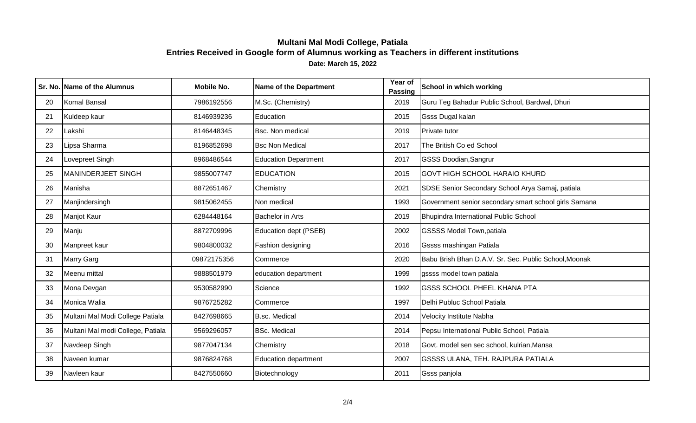|    | Sr. No. Name of the Alumnus       | <b>Mobile No.</b> | Name of the Department      | Year of<br><b>Passing</b> | <b>School in which working</b>                        |
|----|-----------------------------------|-------------------|-----------------------------|---------------------------|-------------------------------------------------------|
| 20 | Komal Bansal                      | 7986192556        | M.Sc. (Chemistry)           | 2019                      | Guru Teg Bahadur Public School, Bardwal, Dhuri        |
| 21 | Kuldeep kaur                      | 8146939236        | Education                   | 2015                      | <b>Gsss Dugal kalan</b>                               |
| 22 | Lakshi                            | 8146448345        | <b>Bsc. Non medical</b>     | 2019                      | Private tutor                                         |
| 23 | Lipsa Sharma                      | 8196852698        | <b>Bsc Non Medical</b>      | 2017                      | The British Co ed School                              |
| 24 | Lovepreet Singh                   | 8968486544        | <b>Education Department</b> | 2017                      | <b>GSSS Doodian, Sangrur</b>                          |
| 25 | MANINDERJEET SINGH                | 9855007747        | <b>EDUCATION</b>            | 2015                      | <b>GOVT HIGH SCHOOL HARAIO KHURD</b>                  |
| 26 | Manisha                           | 8872651467        | Chemistry                   | 2021                      | SDSE Senior Secondary School Arya Samaj, patiala      |
| 27 | Manjindersingh                    | 9815062455        | Non medical                 | 1993                      | Government senior secondary smart school girls Samana |
| 28 | Manjot Kaur                       | 6284448164        | <b>Bachelor in Arts</b>     | 2019                      | Bhupindra International Public School                 |
| 29 | Manju                             | 8872709996        | Education dept (PSEB)       | 2002                      | <b>GSSSS Model Town, patiala</b>                      |
| 30 | Manpreet kaur                     | 9804800032        | Fashion designing           | 2016                      | <b>Gssss mashingan Patiala</b>                        |
| 31 | <b>Marry Garg</b>                 | 09872175356       | Commerce                    | 2020                      | Babu Brish Bhan D.A.V. Sr. Sec. Public School, Moonak |
| 32 | Meenu mittal                      | 9888501979        | education department        | 1999                      | gssss model town patiala                              |
| 33 | Mona Devgan                       | 9530582990        | Science                     | 1992                      | <b>GSSS SCHOOL PHEEL KHANA PTA</b>                    |
| 34 | Monica Walia                      | 9876725282        | Commerce                    | 1997                      | Delhi Publuc School Patiala                           |
| 35 | Multani Mal Modi College Patiala  | 8427698665        | <b>B.sc. Medical</b>        | 2014                      | Velocity Institute Nabha                              |
| 36 | Multani Mal modi College, Patiala | 9569296057        | <b>BSc. Medical</b>         | 2014                      | Pepsu International Public School, Patiala            |
| 37 | Navdeep Singh                     | 9877047134        | Chemistry                   | 2018                      | Govt. model sen sec school, kulrian, Mansa            |
| 38 | Naveen kumar                      | 9876824768        | <b>Education department</b> | 2007                      | <b>GSSSS ULANA, TEH. RAJPURA PATIALA</b>              |
| 39 | Navleen kaur                      | 8427550660        | Biotechnology               | 2011                      | <b>Gsss panjola</b>                                   |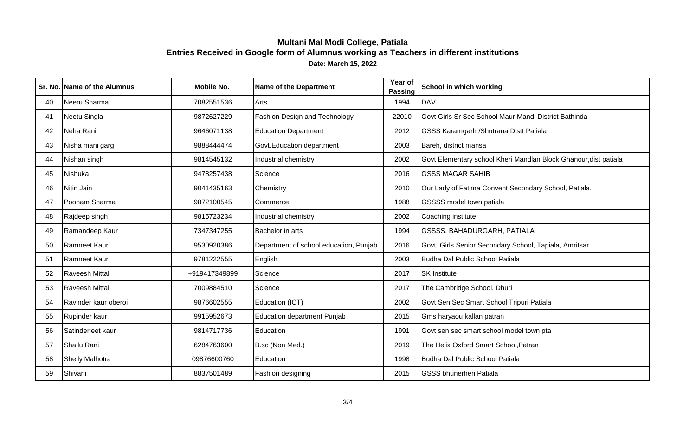|    | Sr. No. Name of the Alumnus | <b>Mobile No.</b> | <b>Name of the Department</b>          | Year of<br><b>Passing</b> | School in which working                                          |
|----|-----------------------------|-------------------|----------------------------------------|---------------------------|------------------------------------------------------------------|
| 40 | Neeru Sharma                | 7082551536        | Arts                                   | 1994                      | <b>DAV</b>                                                       |
| 41 | Neetu Singla                | 9872627229        | Fashion Design and Technology          | 22010                     | Govt Girls Sr Sec School Maur Mandi District Bathinda            |
| 42 | Neha Rani                   | 9646071138        | <b>Education Department</b>            | 2012                      | <b>GSSS Karamgarh / Shutrana Distt Patiala</b>                   |
| 43 | Nisha mani garg             | 9888444474        | Govt. Education department             | 2003                      | Bareh, district mansa                                            |
| 44 | Nishan singh                | 9814545132        | Industrial chemistry                   | 2002                      | Govt Elementary school Kheri Mandlan Block Ghanour, dist patiala |
| 45 | Nishuka                     | 9478257438        | Science                                | 2016                      | <b>GSSS MAGAR SAHIB</b>                                          |
| 46 | Nitin Jain                  | 9041435163        | Chemistry                              | 2010                      | Our Lady of Fatima Convent Secondary School, Patiala.            |
| 47 | Poonam Sharma               | 9872100545        | Commerce                               | 1988                      | GSSSS model town patiala                                         |
| 48 | Rajdeep singh               | 9815723234        | Industrial chemistry                   | 2002                      | Coaching institute                                               |
| 49 | Ramandeep Kaur              | 7347347255        | Bachelor in arts                       | 1994                      | <b>GSSSS, BAHADURGARH, PATIALA</b>                               |
| 50 | Ramneet Kaur                | 9530920386        | Department of school education, Punjab | 2016                      | Govt. Girls Senior Secondary School, Tapiala, Amritsar           |
| 51 | <b>Ramneet Kaur</b>         | 9781222555        | English                                | 2003                      | Budha Dal Public School Patiala                                  |
| 52 | <b>Raveesh Mittal</b>       | +919417349899     | Science                                | 2017                      | <b>SK Institute</b>                                              |
| 53 | <b>Raveesh Mittal</b>       | 7009884510        | Science                                | 2017                      | The Cambridge School, Dhuri                                      |
| 54 | Ravinder kaur oberoi        | 9876602555        | Education (ICT)                        | 2002                      | Govt Sen Sec Smart School Tripuri Patiala                        |
| 55 | Rupinder kaur               | 9915952673        | <b>Education department Punjab</b>     | 2015                      | Gms haryaou kallan patran                                        |
| 56 | Satinderjeet kaur           | 9814717736        | Education                              | 1991                      | Govt sen sec smart school model town pta                         |
| 57 | Shallu Rani                 | 6284763600        | B.sc (Non Med.)                        | 2019                      | The Helix Oxford Smart School, Patran                            |
| 58 | <b>Shelly Malhotra</b>      | 09876600760       | Education                              | 1998                      | Budha Dal Public School Patiala                                  |
| 59 | Shivani                     | 8837501489        | Fashion designing                      | 2015                      | <b>GSSS bhunerheri Patiala</b>                                   |